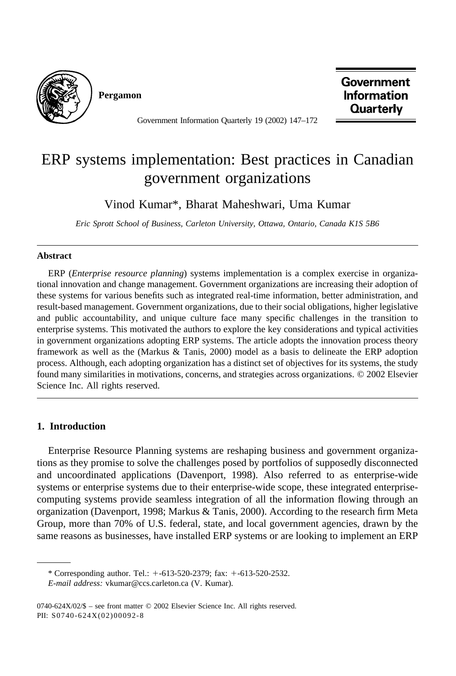

**Pergamon**

**Government Information Quarterly** 

Government Information Quarterly 19 (2002) 147–172

## ERP systems implementation: Best practices in Canadian government organizations

Vinod Kumar\*, Bharat Maheshwari, Uma Kumar

*Eric Sprott School of Business, Carleton University, Ottawa, Ontario, Canada K1S 5B6*

## **Abstract**

ERP (*Enterprise resource planning*) systems implementation is a complex exercise in organizational innovation and change management. Government organizations are increasing their adoption of these systems for various benefits such as integrated real-time information, better administration, and result-based management. Government organizations, due to their social obligations, higher legislative and public accountability, and unique culture face many specific challenges in the transition to enterprise systems. This motivated the authors to explore the key considerations and typical activities in government organizations adopting ERP systems. The article adopts the innovation process theory framework as well as the (Markus & Tanis, 2000) model as a basis to delineate the ERP adoption process. Although, each adopting organization has a distinct set of objectives for its systems, the study found many similarities in motivations, concerns, and strategies across organizations. © 2002 Elsevier Science Inc. All rights reserved.

## **1. Introduction**

Enterprise Resource Planning systems are reshaping business and government organizations as they promise to solve the challenges posed by portfolios of supposedly disconnected and uncoordinated applications (Davenport, 1998). Also referred to as enterprise-wide systems or enterprise systems due to their enterprise-wide scope, these integrated enterprisecomputing systems provide seamless integration of all the information flowing through an organization (Davenport, 1998; Markus & Tanis, 2000). According to the research firm Meta Group, more than 70% of U.S. federal, state, and local government agencies, drawn by the same reasons as businesses, have installed ERP systems or are looking to implement an ERP

<sup>\*</sup> Corresponding author. Tel.:  $+$ -613-520-2379; fax:  $+$ -613-520-2532.

*E-mail address:* vkumar@ccs.carleton.ca (V. Kumar).

<sup>0740-624</sup>X/02/\$ – see front matter © 2002 Elsevier Science Inc. All rights reserved. PII: S0740-624X(02)00092-8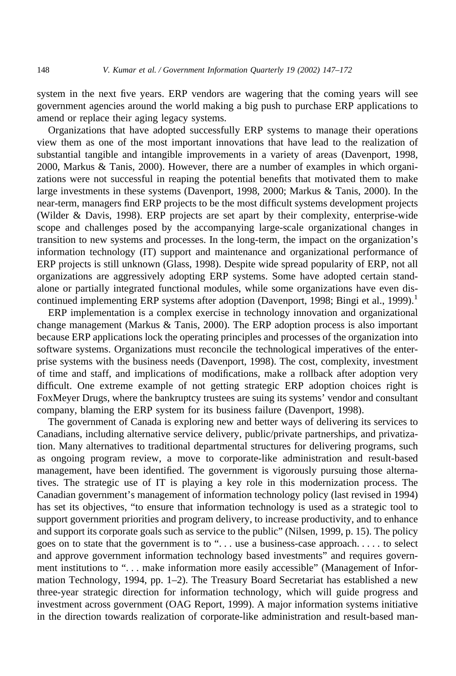system in the next five years. ERP vendors are wagering that the coming years will see government agencies around the world making a big push to purchase ERP applications to amend or replace their aging legacy systems.

Organizations that have adopted successfully ERP systems to manage their operations view them as one of the most important innovations that have lead to the realization of substantial tangible and intangible improvements in a variety of areas (Davenport, 1998, 2000, Markus & Tanis, 2000). However, there are a number of examples in which organizations were not successful in reaping the potential benefits that motivated them to make large investments in these systems (Davenport, 1998, 2000; Markus & Tanis, 2000). In the near-term, managers find ERP projects to be the most difficult systems development projects (Wilder & Davis, 1998). ERP projects are set apart by their complexity, enterprise-wide scope and challenges posed by the accompanying large-scale organizational changes in transition to new systems and processes. In the long-term, the impact on the organization's information technology (IT) support and maintenance and organizational performance of ERP projects is still unknown (Glass, 1998). Despite wide spread popularity of ERP, not all organizations are aggressively adopting ERP systems. Some have adopted certain standalone or partially integrated functional modules, while some organizations have even discontinued implementing ERP systems after adoption (Davenport, 1998; Bingi et al., 1999).<sup>1</sup>

ERP implementation is a complex exercise in technology innovation and organizational change management (Markus & Tanis, 2000). The ERP adoption process is also important because ERP applications lock the operating principles and processes of the organization into software systems. Organizations must reconcile the technological imperatives of the enterprise systems with the business needs (Davenport, 1998). The cost, complexity, investment of time and staff, and implications of modifications, make a rollback after adoption very difficult. One extreme example of not getting strategic ERP adoption choices right is FoxMeyer Drugs, where the bankruptcy trustees are suing its systems' vendor and consultant company, blaming the ERP system for its business failure (Davenport, 1998).

The government of Canada is exploring new and better ways of delivering its services to Canadians, including alternative service delivery, public/private partnerships, and privatization. Many alternatives to traditional departmental structures for delivering programs, such as ongoing program review, a move to corporate-like administration and result-based management, have been identified. The government is vigorously pursuing those alternatives. The strategic use of IT is playing a key role in this modernization process. The Canadian government's management of information technology policy (last revised in 1994) has set its objectives, "to ensure that information technology is used as a strategic tool to support government priorities and program delivery, to increase productivity, and to enhance and support its corporate goals such as service to the public" (Nilsen, 1999, p. 15). The policy goes on to state that the government is to ". . . use a business-case approach. . . . . to select and approve government information technology based investments" and requires government institutions to ". . . make information more easily accessible" (Management of Information Technology, 1994, pp. 1–2). The Treasury Board Secretariat has established a new three-year strategic direction for information technology, which will guide progress and investment across government (OAG Report, 1999). A major information systems initiative in the direction towards realization of corporate-like administration and result-based man-